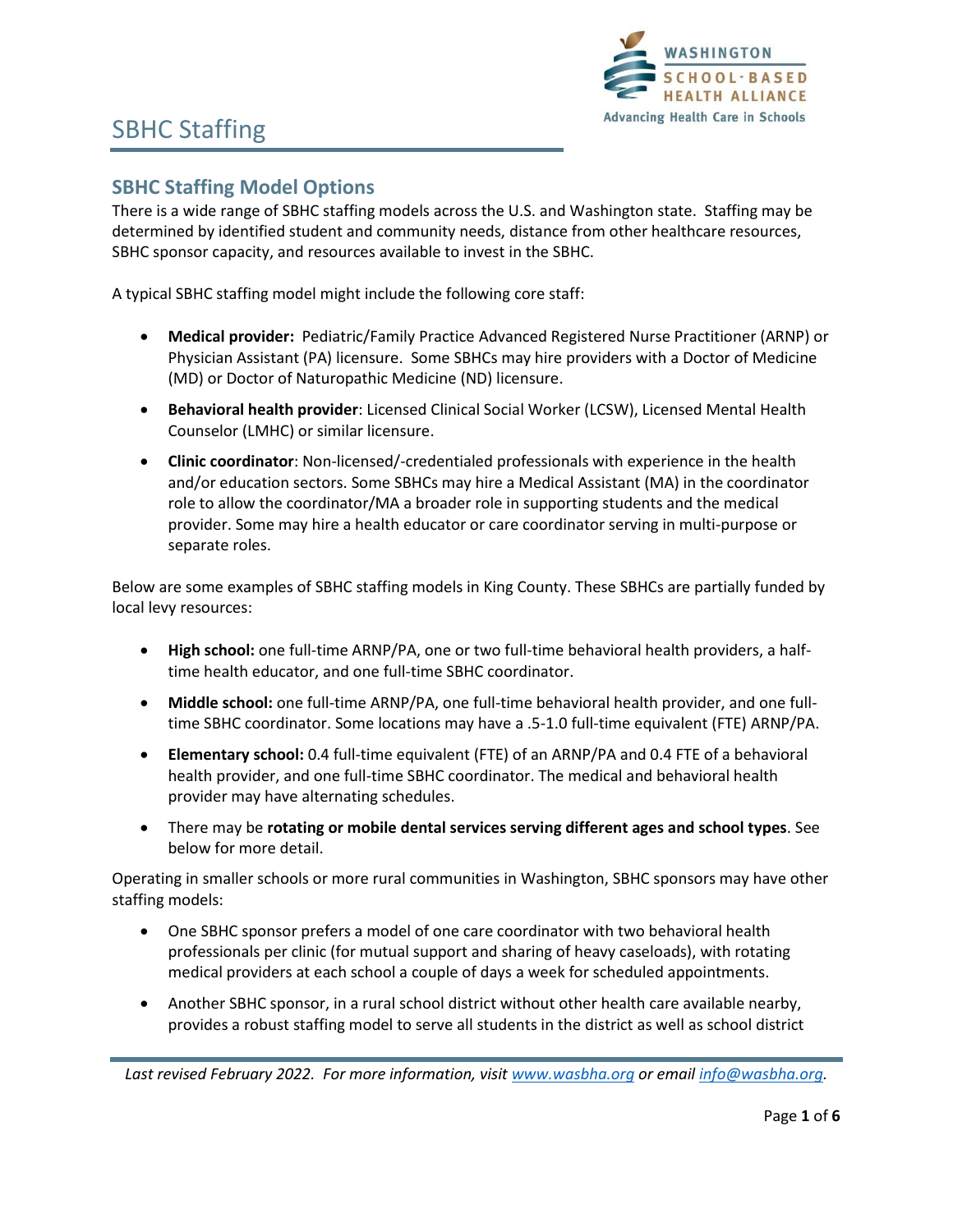

### **SBHC Staffing Model Options**

There is a wide range of SBHC staffing models across the U.S. and Washington state. Staffing may be determined by identified student and community needs, distance from other healthcare resources, SBHC sponsor capacity, and resources available to invest in the SBHC.

A typical SBHC staffing model might include the following core staff:

- **Medical provider:** Pediatric/Family Practice Advanced Registered Nurse Practitioner (ARNP) or Physician Assistant (PA) licensure. Some SBHCs may hire providers with a Doctor of Medicine (MD) or Doctor of Naturopathic Medicine (ND) licensure.
- **Behavioral health provider**: Licensed Clinical Social Worker (LCSW), Licensed Mental Health Counselor (LMHC) or similar licensure.
- **Clinic coordinator**: Non-licensed/-credentialed professionals with experience in the health and/or education sectors. Some SBHCs may hire a Medical Assistant (MA) in the coordinator role to allow the coordinator/MA a broader role in supporting students and the medical provider. Some may hire a health educator or care coordinator serving in multi-purpose or separate roles.

Below are some examples of SBHC staffing models in King County. These SBHCs are partially funded by local levy resources:

- **High school:** one full-time ARNP/PA, one or two full-time behavioral health providers, a halftime health educator, and one full-time SBHC coordinator.
- **Middle school:** one full-time ARNP/PA, one full-time behavioral health provider, and one fulltime SBHC coordinator. Some locations may have a .5-1.0 full-time equivalent (FTE) ARNP/PA.
- **Elementary school:** 0.4 full-time equivalent (FTE) of an ARNP/PA and 0.4 FTE of a behavioral health provider, and one full-time SBHC coordinator. The medical and behavioral health provider may have alternating schedules.
- There may be **rotating or mobile dental services serving different ages and school types**. See below for more detail.

Operating in smaller schools or more rural communities in Washington, SBHC sponsors may have other staffing models:

- One SBHC sponsor prefers a model of one care coordinator with two behavioral health professionals per clinic (for mutual support and sharing of heavy caseloads), with rotating medical providers at each school a couple of days a week for scheduled appointments.
- Another SBHC sponsor, in a rural school district without other health care available nearby, provides a robust staffing model to serve all students in the district as well as school district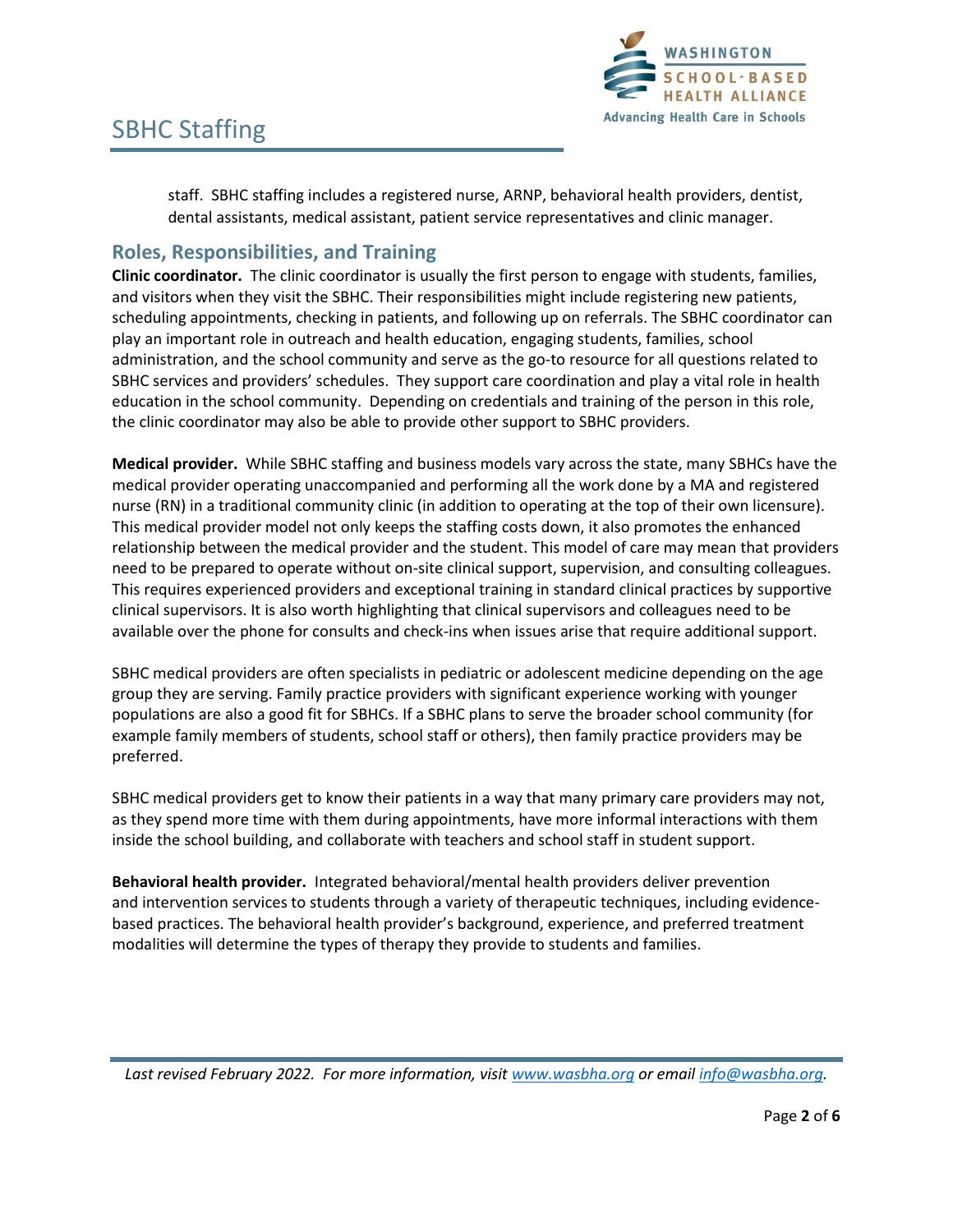

staff. SBHC staffing includes a registered nurse, ARNP, behavioral health providers, dentist, dental assistants, medical assistant, patient service representatives and clinic manager.

#### **Roles, Responsibilities, and Training**

**Clinic coordinator.** The clinic coordinator is usually the first person to engage with students, families, and visitors when they visit the SBHC. Their responsibilities might include registering new patients, scheduling appointments, checking in patients, and following up on referrals. The SBHC coordinator can play an important role in outreach and health education, engaging students, families, school administration, and the school community and serve as the go-to resource for all questions related to SBHC services and providers' schedules. They support care coordination and play a vital role in health education in the school community. Depending on credentials and training of the person in this role, the clinic coordinator may also be able to provide other support to SBHC providers.

**Medical provider.** While SBHC staffing and business models vary across the state, many SBHCs have the medical provider operating unaccompanied and performing all the work done by a MA and registered nurse (RN) in a traditional community clinic (in addition to operating at the top of their own licensure). This medical provider model not only keeps the staffing costs down, it also promotes the enhanced relationship between the medical provider and the student. This model of care may mean that providers need to be prepared to operate without on-site clinical support, supervision, and consulting colleagues. This requires experienced providers and exceptional training in standard clinical practices by supportive clinical supervisors. It is also worth highlighting that clinical supervisors and colleagues need to be available over the phone for consults and check-ins when issues arise that require additional support.

SBHC medical providers are often specialists in pediatric or adolescent medicine depending on the age group they are serving. Family practice providers with significant experience working with younger populations are also a good fit for SBHCs. If a SBHC plans to serve the broader school community (for example family members of students, school staff or others), then family practice providers may be preferred.

SBHC medical providers get to know their patients in a way that many primary care providers may not, as they spend more time with them during appointments, have more informal interactions with them inside the school building, and collaborate with teachers and school staff in student support.

**Behavioral health provider.** Integrated behavioral/mental health providers deliver prevention and intervention services to students through a variety of therapeutic techniques, including evidencebased practices. The behavioral health provider's background, experience, and preferred treatment modalities will determine the types of therapy they provide to students and families.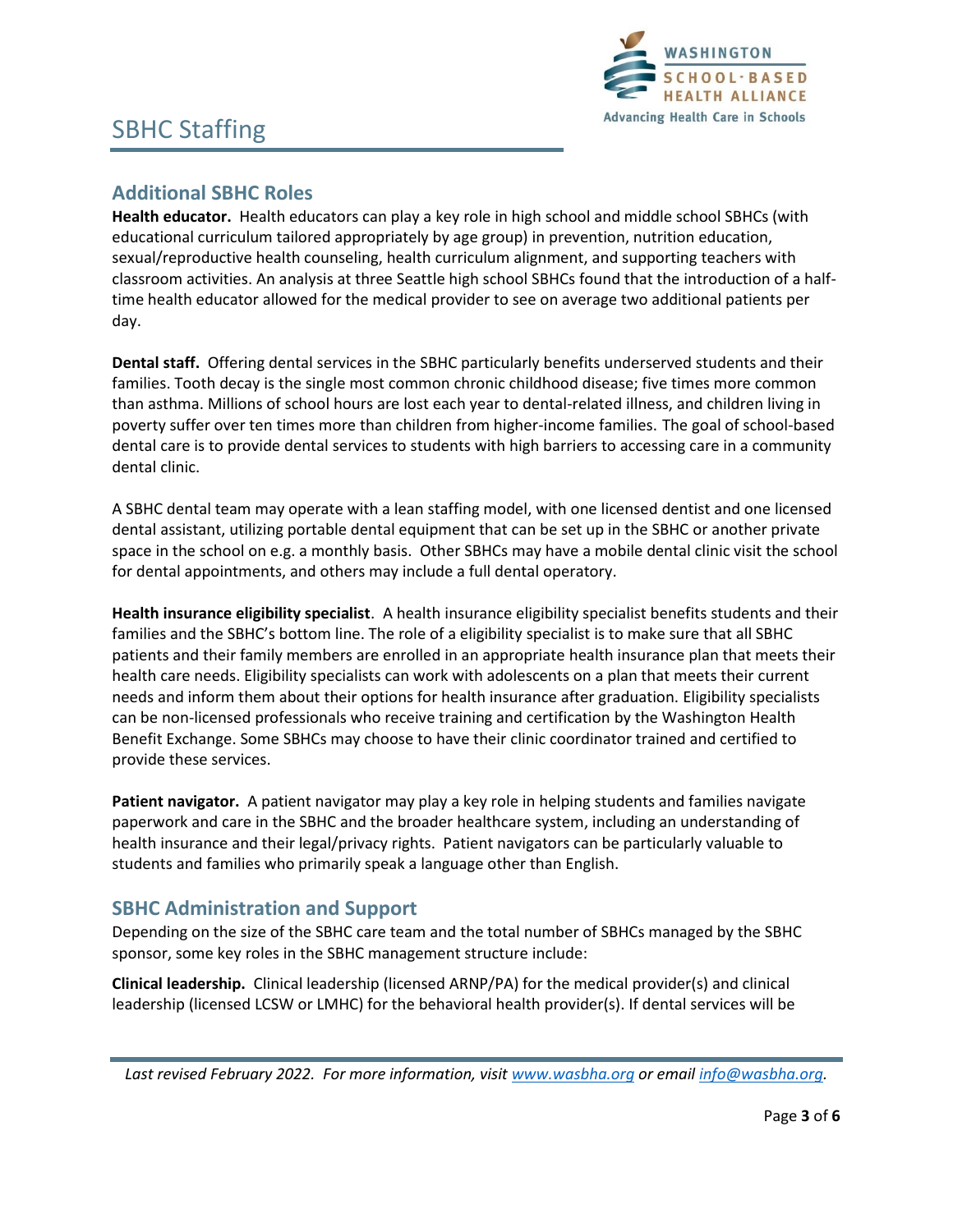

## **Additional SBHC Roles**

**Health educator.** Health educators can play a key role in high school and middle school SBHCs (with educational curriculum tailored appropriately by age group) in prevention, nutrition education, sexual/reproductive health counseling, health curriculum alignment, and supporting teachers with classroom activities. An analysis at three Seattle high school SBHCs found that the introduction of a halftime health educator allowed for the medical provider to see on average two additional patients per day.

**Dental staff.** Offering dental services in the SBHC particularly benefits underserved students and their families. Tooth decay is the single most common chronic childhood disease; five times more common than asthma. Millions of school hours are lost each year to dental-related illness, and children living in poverty suffer over ten times more than children from higher-income families. The goal of school-based dental care is to provide dental services to students with high barriers to accessing care in a community dental clinic.

A SBHC dental team may operate with a lean staffing model, with one licensed dentist and one licensed dental assistant, utilizing portable dental equipment that can be set up in the SBHC or another private space in the school on e.g. a monthly basis. Other SBHCs may have a mobile dental clinic visit the school for dental appointments, and others may include a full dental operatory.

**Health insurance eligibility specialist**. A health insurance eligibility specialist benefits students and their families and the SBHC's bottom line. The role of a eligibility specialist is to make sure that all SBHC patients and their family members are enrolled in an appropriate health insurance plan that meets their health care needs. Eligibility specialists can work with adolescents on a plan that meets their current needs and inform them about their options for health insurance after graduation. Eligibility specialists can be non-licensed professionals who receive training and certification by the Washington Health Benefit Exchange. Some SBHCs may choose to have their clinic coordinator trained and certified to provide these services.

**Patient navigator.** A patient navigator may play a key role in helping students and families navigate paperwork and care in the SBHC and the broader healthcare system, including an understanding of health insurance and their legal/privacy rights. Patient navigators can be particularly valuable to students and families who primarily speak a language other than English.

### **SBHC Administration and Support**

Depending on the size of the SBHC care team and the total number of SBHCs managed by the SBHC sponsor, some key roles in the SBHC management structure include:

**Clinical leadership.** Clinical leadership (licensed ARNP/PA) for the medical provider(s) and clinical leadership (licensed LCSW or LMHC) for the behavioral health provider(s). If dental services will be

*Last revised February 2022. For more information, visi[t www.wasbha.org](http://www.wasbha.org/) or email [info@wasbha.org.](mailto:info@wasbha.org)*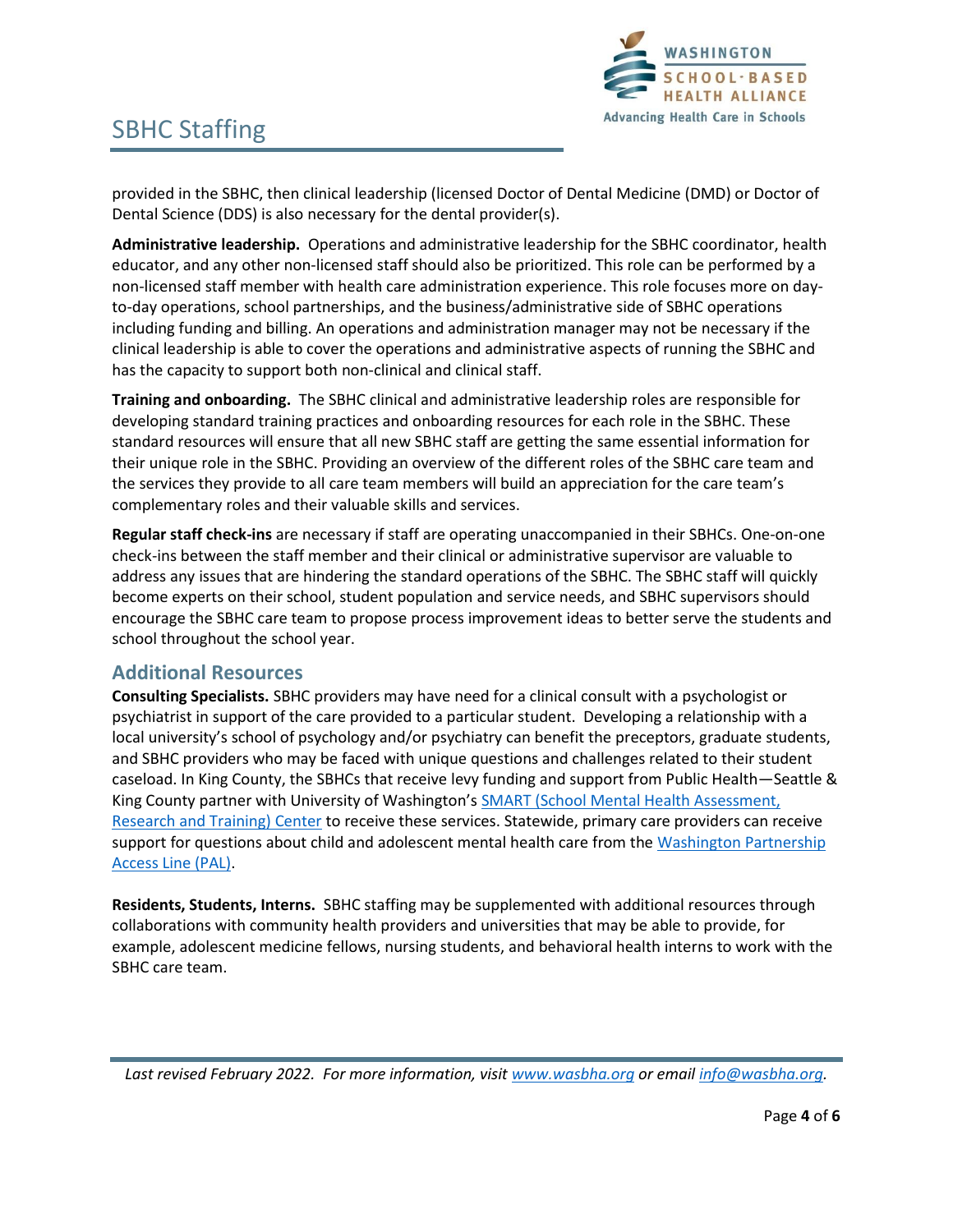

provided in the SBHC, then clinical leadership (licensed Doctor of Dental Medicine (DMD) or Doctor of Dental Science (DDS) is also necessary for the dental provider(s).

**Administrative leadership.** Operations and administrative leadership for the SBHC coordinator, health educator, and any other non-licensed staff should also be prioritized. This role can be performed by a non-licensed staff member with health care administration experience. This role focuses more on dayto-day operations, school partnerships, and the business/administrative side of SBHC operations including funding and billing. An operations and administration manager may not be necessary if the clinical leadership is able to cover the operations and administrative aspects of running the SBHC and has the capacity to support both non-clinical and clinical staff.

**Training and onboarding.** The SBHC clinical and administrative leadership roles are responsible for developing standard training practices and onboarding resources for each role in the SBHC. These standard resources will ensure that all new SBHC staff are getting the same essential information for their unique role in the SBHC. Providing an overview of the different roles of the SBHC care team and the services they provide to all care team members will build an appreciation for the care team's complementary roles and their valuable skills and services.

**Regular staff check-ins** are necessary if staff are operating unaccompanied in their SBHCs. One-on-one check-ins between the staff member and their clinical or administrative supervisor are valuable to address any issues that are hindering the standard operations of the SBHC. The SBHC staff will quickly become experts on their school, student population and service needs, and SBHC supervisors should encourage the SBHC care team to propose process improvement ideas to better serve the students and school throughout the school year.

#### **Additional Resources**

**Consulting Specialists.** SBHC providers may have need for a clinical consult with a psychologist or psychiatrist in support of the care provided to a particular student. Developing a relationship with a local university's school of psychology and/or psychiatry can benefit the preceptors, graduate students, and SBHC providers who may be faced with unique questions and challenges related to their student caseload. In King County, the SBHCs that receive levy funding and support from Public Health—Seattle & King County partner with University of Washington's **SMART** (School Mental Health Assessment, [Research and Training\) Center](https://depts.washington.edu/uwsmart/) to receive these services. Statewide, primary care providers can receive support for questions about child and adolescent mental health care from the Washington Partnership [Access Line \(PAL\).](https://www.seattlechildrens.org/healthcare-professionals/access-services/partnership-access-line/wa-pal/#:~:text=The%20PAL%20line%20is%20designed%20to%20be%20a,free%20service%20connecting%20families%20with%20mental%20health%20providers.)

**Residents, Students, Interns.** SBHC staffing may be supplemented with additional resources through collaborations with community health providers and universities that may be able to provide, for example, adolescent medicine fellows, nursing students, and behavioral health interns to work with the SBHC care team.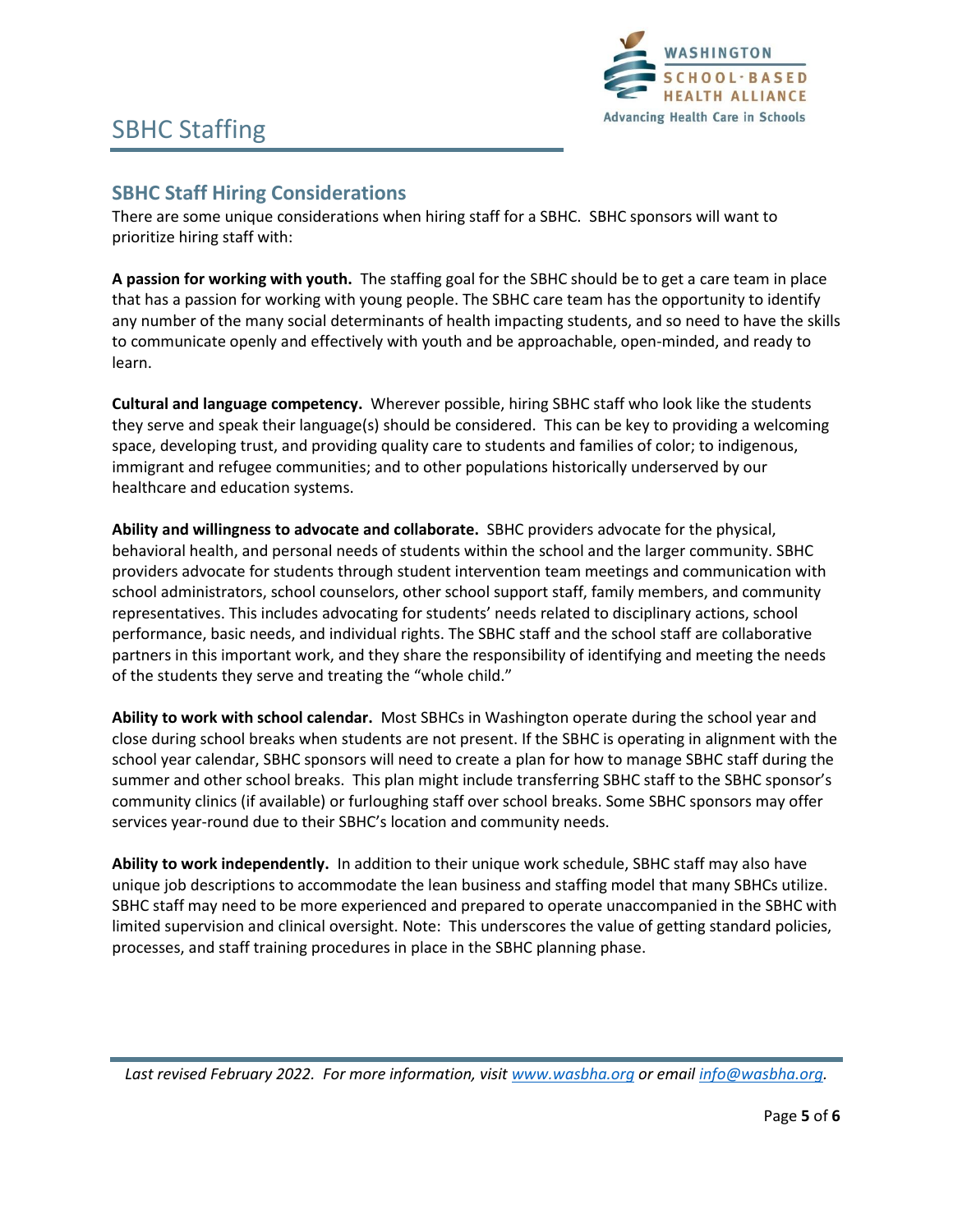

## **SBHC Staff Hiring Considerations**

There are some unique considerations when hiring staff for a SBHC. SBHC sponsors will want to prioritize hiring staff with:

**A passion for working with youth.** The staffing goal for the SBHC should be to get a care team in place that has a passion for working with young people. The SBHC care team has the opportunity to identify any number of the many social determinants of health impacting students, and so need to have the skills to communicate openly and effectively with youth and be approachable, open-minded, and ready to learn.

**Cultural and language competency.** Wherever possible, hiring SBHC staff who look like the students they serve and speak their language(s) should be considered. This can be key to providing a welcoming space, developing trust, and providing quality care to students and families of color; to indigenous, immigrant and refugee communities; and to other populations historically underserved by our healthcare and education systems.

**Ability and willingness to advocate and collaborate.** SBHC providers advocate for the physical, behavioral health, and personal needs of students within the school and the larger community. SBHC providers advocate for students through student intervention team meetings and communication with school administrators, school counselors, other school support staff, family members, and community representatives. This includes advocating for students' needs related to disciplinary actions, school performance, basic needs, and individual rights. The SBHC staff and the school staff are collaborative partners in this important work, and they share the responsibility of identifying and meeting the needs of the students they serve and treating the "whole child."

**Ability to work with school calendar.** Most SBHCs in Washington operate during the school year and close during school breaks when students are not present. If the SBHC is operating in alignment with the school year calendar, SBHC sponsors will need to create a plan for how to manage SBHC staff during the summer and other school breaks. This plan might include transferring SBHC staff to the SBHC sponsor's community clinics (if available) or furloughing staff over school breaks. Some SBHC sponsors may offer services year-round due to their SBHC's location and community needs.

**Ability to work independently.** In addition to their unique work schedule, SBHC staff may also have unique job descriptions to accommodate the lean business and staffing model that many SBHCs utilize. SBHC staff may need to be more experienced and prepared to operate unaccompanied in the SBHC with limited supervision and clinical oversight. Note: This underscores the value of getting standard policies, processes, and staff training procedures in place in the SBHC planning phase.

*Last revised February 2022. For more information, visi[t www.wasbha.org](http://www.wasbha.org/) or email [info@wasbha.org.](mailto:info@wasbha.org)*